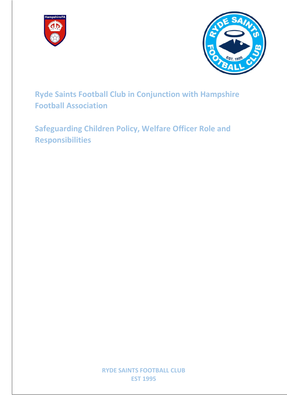



**Ryde Saints Football Club in Conjunction with Hampshire Football Association**

**Safeguarding Children Policy, Welfare Officer Role and Responsibilities**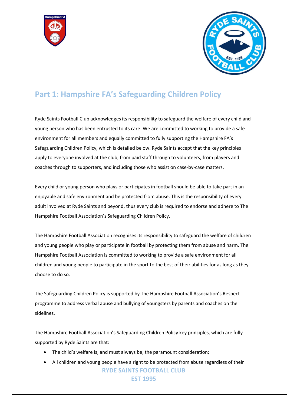



## **Part 1: Hampshire FA's Safeguarding Children Policy**

Ryde Saints Football Club acknowledges its responsibility to safeguard the welfare of every child and young person who has been entrusted to its care. We are committed to working to provide a safe environment for all members and equally committed to fully supporting the Hampshire FA's Safeguarding Children Policy, which is detailed below. Ryde Saints accept that the key principles apply to everyone involved at the club; from paid staff through to volunteers, from players and coaches through to supporters, and including those who assist on case-by-case matters.

Every child or young person who plays or participates in football should be able to take part in an enjoyable and safe environment and be protected from abuse. This is the responsibility of every adult involved at Ryde Saints and beyond, thus every club is required to endorse and adhere to The Hampshire Football Association's Safeguarding Children Policy.

The Hampshire Football Association recognises its responsibility to safeguard the welfare of children and young people who play or participate in football by protecting them from abuse and harm. The Hampshire Football Association is committed to working to provide a safe environment for all children and young people to participate in the sport to the best of their abilities for as long as they choose to do so.

The Safeguarding Children Policy is supported by The Hampshire Football Association's Respect programme to address verbal abuse and bullying of youngsters by parents and coaches on the sidelines.

The Hampshire Football Association's Safeguarding Children Policy key principles, which are fully supported by Ryde Saints are that:

- The child's welfare is, and must always be, the paramount consideration;
- **RYDE SAINTS FOOTBALL CLUB EST 1995** • All children and young people have a right to be protected from abuse regardless of their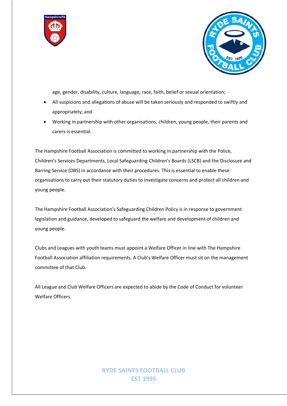



age, gender, disability, culture, language, race, faith, belief or sexual orientation;

- All suspicions and allegations of abuse will be taken seriously and responded to swiftly and appropriately; and
- Working in partnership with other organisations, children, young people, their parents and carers is essential.

The Hampshire Football Association is committed to working in partnership with the Police, Children's Services Departments, Local Safeguarding Children's Boards (LSCB) and the Disclosure and Barring Service (DBS) in accordance with their procedures. This is essential to enable these organisations to carry out their statutory duties to investigate concerns and protect all children and young people.

The Hampshire Football Association's Safeguarding Children Policy is in response to government legislation and guidance, developed to safeguard the welfare and development of children and young people.

Clubs and Leagues with youth teams must appoint a Welfare Officer in line with The Hampshire Football Association affiliation requirements. A Club's Welfare Officer must sit on the management committee of that Club.

All League and Club Welfare Officers are expected to abide by the Code of Conduct for volunteer Welfare Officers.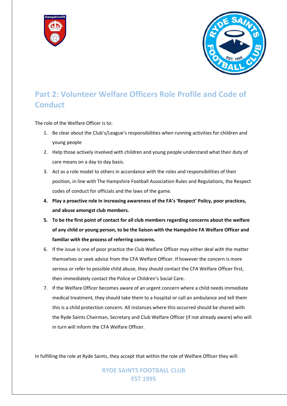



# **Part 2: Volunteer Welfare Officers Role Profile and Code of Conduct**

The role of the Welfare Officer is to:

- 1. Be clear about the Club's/League's responsibilities when running activities for children and young people
- 2. Help those actively involved with children and young people understand what their duty of care means on a day to day basis.
- 3. Act as a role model to others in accordance with the roles and responsibilities of their position, in line with The Hampshire Football Association Rules and Regulations, the Respect codes of conduct for officials and the laws of the game.
- **4. Play a proactive role in increasing awareness of the FA's 'Respect' Policy, poor practices, and abuse amongst club members.**
- **5. To be the first point of contact for all club members regarding concerns about the welfare of any child or young person, to be the liaison with the Hampshire FA Welfare Officer and familiar with the process of referring concerns.**
- 6. If the issue is one of poor practice the Club Welfare Officer may either deal with the matter themselves or seek advice from the CFA Welfare Officer. If however the concern is more serious or refer to possible child abuse, they should contact the CFA Welfare Officer first, then immediately contact the Police or Children's Social Care.
- 7. If the Welfare Officer becomes aware of an urgent concern where a child needs immediate medical treatment, they should take them to a hospital or call an ambulance and tell them this is a child protection concern. All instances where this occurred should be shared with the Ryde Saints Chairman, Secretary and Club Welfare Officer (if not already aware) who will in turn will inform the CFA Welfare Officer.

In fulfilling the role at Ryde Saints, they accept that within the role of Welfare Officer they will: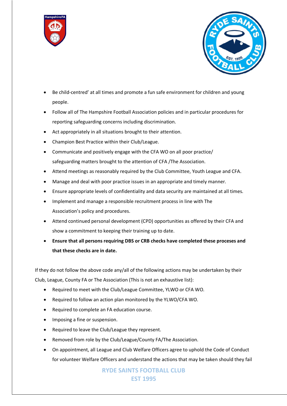



- Be child-centred' at all times and promote a fun safe environment for children and young people.
- Follow all of The Hampshire Football Association policies and in particular procedures for reporting safeguarding concerns including discrimination.
- Act appropriately in all situations brought to their attention.
- Champion Best Practice within their Club/League.
- Communicate and positively engage with the CFA WO on all poor practice/ safeguarding matters brought to the attention of CFA /The Association.
- Attend meetings as reasonably required by the Club Committee, Youth League and CFA.
- Manage and deal with poor practice issues in an appropriate and timely manner.
- Ensure appropriate levels of confidentiality and data security are maintained at all times.
- Implement and manage a responsible recruitment process in line with The Association's policy and procedures.
- Attend continued personal development (CPD) opportunities as offered by their CFA and show a commitment to keeping their training up to date.
- **Ensure that all persons requiring DBS or CRB checks have completed these proceses and that these checks are in date.**

If they do not follow the above code any/all of the following actions may be undertaken by their Club, League, County FA or The Association (This is not an exhaustive list):

- Required to meet with the Club/League Committee, YLWO or CFA WO.
- Required to follow an action plan monitored by the YLWO/CFA WO.
- Required to complete an FA education course.
- Imposing a fine or suspension.
- Required to leave the Club/League they represent.
- Removed from role by the Club/League/County FA/The Association.
- On appointment, all League and Club Welfare Officers agree to uphold the Code of Conduct for volunteer Welfare Officers and understand the actions that may be taken should they fail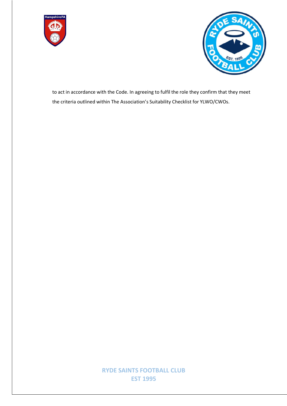



to act in accordance with the Code. In agreeing to fulfil the role they confirm that they meet the criteria outlined within The Association's Suitability Checklist for YLWO/CWOs.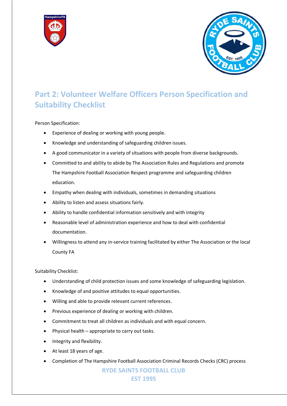



# **Part 2: Volunteer Welfare Officers Person Specification and Suitability Checklist**

Person Specification:

- Experience of dealing or working with young people.
- Knowledge and understanding of safeguarding children issues.
- A good communicator in a variety of situations with people from diverse backgrounds.
- Committed to and ability to abide by The Association Rules and Regulations and promote The Hampshire Football Association Respect programme and safeguarding children education.
- Empathy when dealing with individuals, sometimes in demanding situations
- Ability to listen and assess situations fairly.
- Ability to handle confidential information sensitively and with integrity
- Reasonable level of administration experience and how to deal with confidential documentation.
- Willingness to attend any in-service training facilitated by either The Association or the local County FA

Suitability Checklist:

- Understanding of child protection issues and some knowledge of safeguarding legislation.
- Knowledge of and positive attitudes to equal opportunities.
- Willing and able to provide relevant current references.
- Previous experience of dealing or working with children.
- Commitment to treat all children as individuals and with equal concern.
- Physical health appropriate to carry out tasks.
- Integrity and flexibility.
- At least 18 years of age.
- Completion of The Hampshire Football Association Criminal Records Checks (CRC) process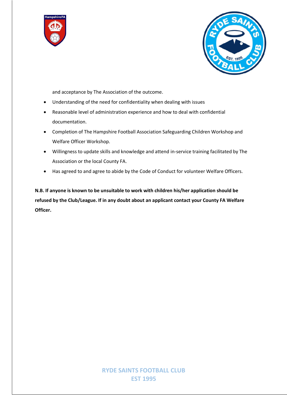



and acceptance by The Association of the outcome.

- Understanding of the need for confidentiality when dealing with issues
- Reasonable level of administration experience and how to deal with confidential documentation.
- Completion of The Hampshire Football Association Safeguarding Children Workshop and Welfare Officer Workshop.
- Willingness to update skills and knowledge and attend in-service training facilitated by The Association or the local County FA.
- Has agreed to and agree to abide by the Code of Conduct for volunteer Welfare Officers.

**N.B. If anyone is known to be unsuitable to work with children his/her application should be refused by the Club/League. If in any doubt about an applicant contact your County FA Welfare Officer.**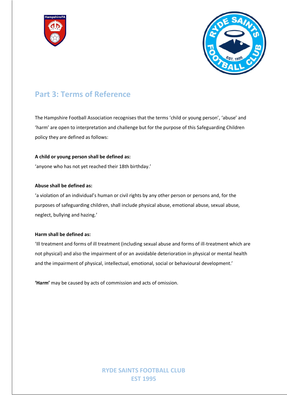



## **Part 3: Terms of Reference**

The Hampshire Football Association recognises that the terms 'child or young person', 'abuse' and 'harm' are open to interpretation and challenge but for the purpose of this Safeguarding Children policy they are defined as follows:

#### **A child or young person shall be defined as:**

'anyone who has not yet reached their 18th birthday.'

#### **Abuse shall be defined as:**

'a violation of an individual's human or civil rights by any other person or persons and, for the purposes of safeguarding children, shall include physical abuse, emotional abuse, sexual abuse, neglect, bullying and hazing.'

#### **Harm shall be defined as:**

'Ill treatment and forms of ill treatment (including sexual abuse and forms of ill-treatment which are not physical) and also the impairment of or an avoidable deterioration in physical or mental health and the impairment of physical, intellectual, emotional, social or behavioural development.'

**'Harm'** may be caused by acts of commission and acts of omission.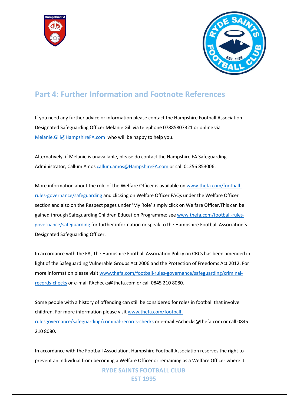



## **Part 4: Further Information and Footnote References**

If you need any further advice or information please contact the Hampshire Football Association Designated Safeguarding Officer Melanie Gill via telephone 07885807321 or online via Melanie.Gill@HampshireFA.com who will be happy to help you.

Alternatively, if Melanie is unavailable, please do contact the Hampshire FA Safeguarding Administrator, Callum Amos callum.amos@HampshireFA.com or call 01256 853006.

More information about the role of the Welfare Officer is available on www.thefa.com/footballrules-governance/safeguarding and clicking on Welfare Officer FAQs under the Welfare Officer section and also on the Respect pages under 'My Role' simply click on Welfare Officer.This can be gained through Safeguarding Children Education Programme; see www.thefa.com/football-rulesgovernance/safeguarding for further information or speak to the Hampshire Football Association's Designated Safeguarding Officer.

In accordance with the FA, The Hampshire Football Association Policy on CRCs has been amended in light of the Safeguarding Vulnerable Groups Act 2006 and the Protection of Freedoms Act 2012. For more information please visit www.thefa.com/football-rules-governance/safeguarding/criminalrecords-checks or e-mail FAchecks@thefa.com or call 0845 210 8080.

Some people with a history of offending can still be considered for roles in football that involve children. For more information please visit www.thefa.com/footballrulesgovernance/safeguarding/criminal-records-checks or e-mail FAchecks@thefa.com or call 0845 210 8080.

In accordance with the Football Association, Hampshire Football Association reserves the right to prevent an individual from becoming a Welfare Officer or remaining as a Welfare Officer where it